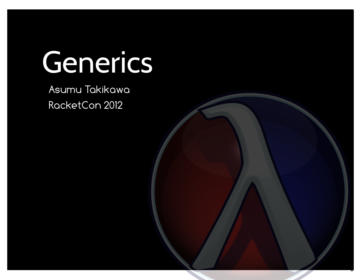# Generics

1

Asumu Takikawa RacketCon 2012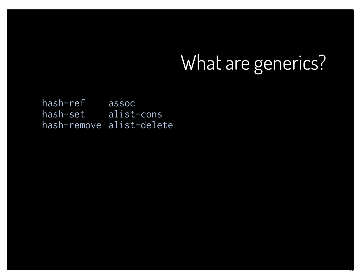3

hash-ref hash-set hash-remove alist-delete assoc alist-cons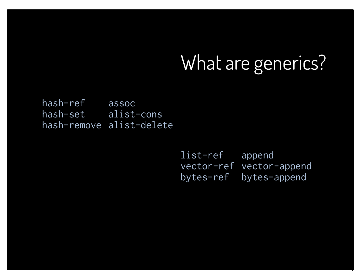hash-ref hash-set hash-remove alist-delete assoc alist-cons

> list-ref vector-ref bytes-ref append vector-append bytes-append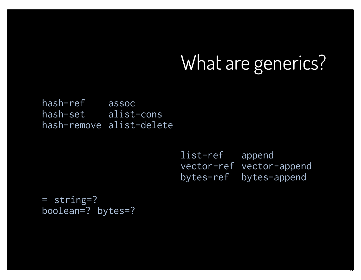hash-ref hash-set hash-remove alist-delete assoc alist-cons

> list-ref vector-ref vector-append bytes-ref append bytes-append

> > 5

= string=? boolean=? bytes=?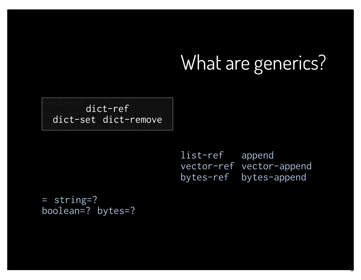hash-ref  $\bigcap_{n=1}^{\infty}$ hash-remove  $\overline{\mathsf{a.s.f.}}$ alist-cons alister dellove dict-ref dict-set dict-remove

> list-ref vector-ref vector-append bytes-ref append bytes-append

> > 6

= string=? boolean=? bytes=?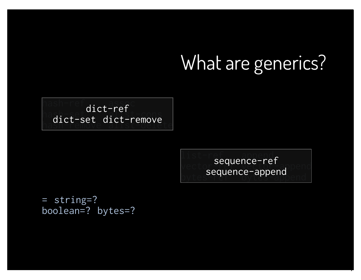hash-ref  $\bigcap_{n=1}^{\infty}$ hash-remove  $\overline{\mathsf{a.s.f.}}$ alist-cons alister dellove dict-ref dict-set dict-remove

> list-ref append  $\vee$ ector $\frac{\texttt{sequ}}{\texttt{c}}$ bytes-reflect-dppend  $\left\lceil \frac{1}{2} \right\rceil$ sequence-ref sequence-append

> > 7

= string=? boolean=? bytes=?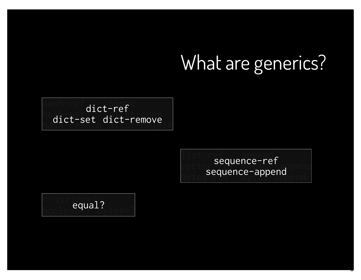hash-ref  $\bigcap_{n=1}^{\infty}$ hash-remove  $\overline{\mathsf{a.s.f.}}$ alist-cons alister dellove dict-ref dict-set dict-remove

> list-ref append  $\vee$ ector $\frac{\texttt{sequ}}{\texttt{c}}$ bytes-reflect-dppend  $\left\lceil \frac{1}{2} \right\rceil$ sequence-ref sequence-append

> > e

 $=$  string=?  $\textcolor{red}{\textsf{bool}}$ ean $\textcolor{red}{\textsf{equ}}$ dytes=? equal?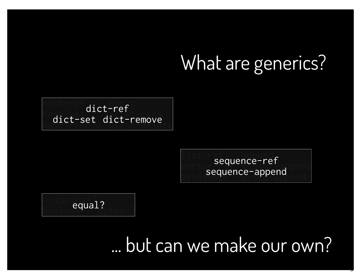#### ... but can we make our own?

 $=$  string=?  $\textcolor{red}{\textsf{bool}}$ ean $\textcolor{red}{\textsf{equ}}$ dytes=? equal?

list-ref  $\vee$ ector $\frac{\texttt{sequ}}{\texttt{c}}$ bytes-reflect-dppend  $620 - 50$  $\left\lceil \frac{1}{2} \right\rceil$ sequence-ref sequence-append

9

hash-ref  $\bigcap_{n=1}^{\infty}$ hash-remove  $\overline{\mathsf{a.s.f.}}$ alist-cons alister dellove dict-ref dict-set dict-remove

## What are generics?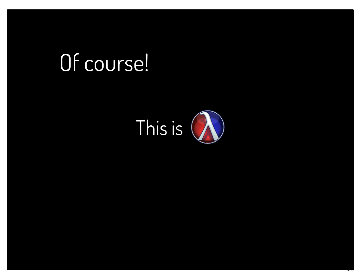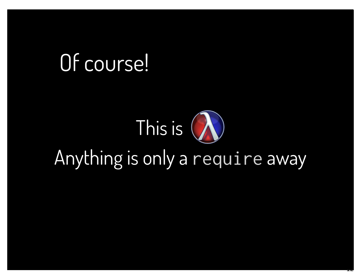# This is ( Anything is only a require away

<u>ـ ب</u>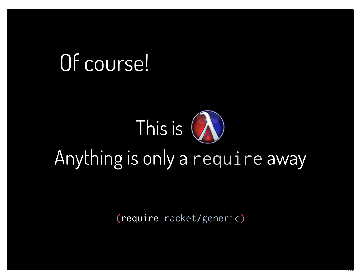# This is ( Anything is only a require away

(require racket/generic)

<u>ـــ</u>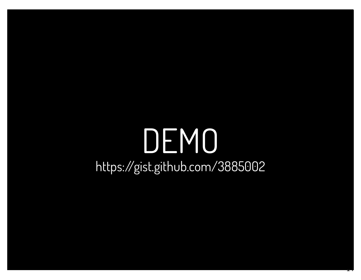## DEMO https://gist.github.com/3885002

 $\overline{1}$